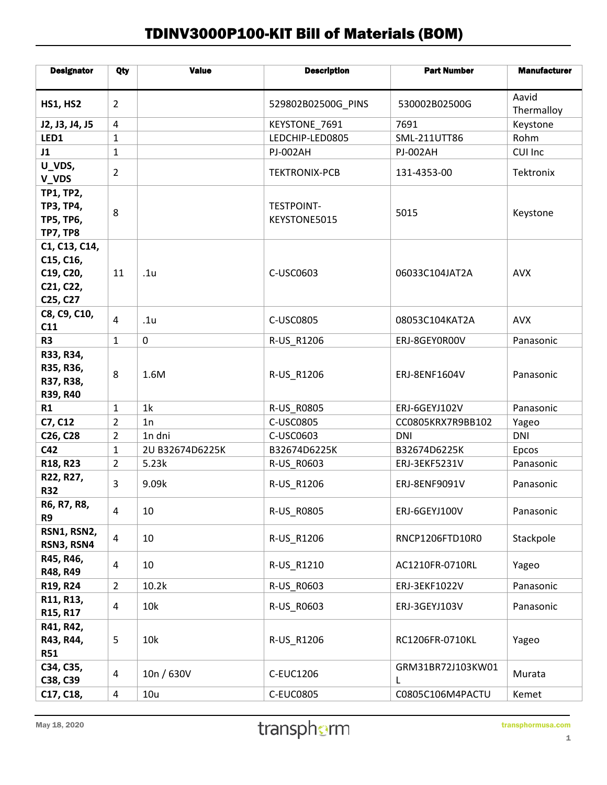## TDINV3000P100-KIT Bill of Materials (BOM)

| <b>Designator</b>                                                    | Qty            | <b>Value</b>    | <b>Description</b>                | <b>Part Number</b>     | <b>Manufacturer</b> |
|----------------------------------------------------------------------|----------------|-----------------|-----------------------------------|------------------------|---------------------|
| <b>HS1, HS2</b>                                                      | $\overline{2}$ |                 | 529802B02500G_PINS                | 530002B02500G          | Aavid<br>Thermalloy |
| J2, J3, J4, J5                                                       | 4              |                 | KEYSTONE 7691                     | 7691                   | Keystone            |
| LED1                                                                 | 1              |                 | LEDCHIP-LED0805                   | SML-211UTT86           | Rohm                |
| J1                                                                   | 1              |                 | <b>PJ-002AH</b>                   | <b>PJ-002AH</b>        | CUI Inc             |
| U_VDS,<br>V_VDS                                                      | $\overline{2}$ |                 | <b>TEKTRONIX-PCB</b>              | 131-4353-00            | Tektronix           |
| TP1, TP2,<br><b>TP3, TP4,</b><br><b>TP5, TP6,</b><br><b>TP7, TP8</b> | 8              |                 | <b>TESTPOINT-</b><br>KEYSTONE5015 | 5015                   | Keystone            |
| C1, C13, C14,<br>C15, C16,<br>C19, C20,<br>C21, C22,<br>C25, C27     | 11             | .1 <sub>u</sub> | C-USC0603                         | 06033C104JAT2A         | <b>AVX</b>          |
| C8, C9, C10,<br>C11                                                  | $\overline{4}$ | .1 <sub>u</sub> | C-USC0805                         | 08053C104KAT2A         | <b>AVX</b>          |
| R <sub>3</sub>                                                       | $\mathbf{1}$   | 0               | R-US_R1206                        | ERJ-8GEY0R00V          | Panasonic           |
| R33, R34,<br>R35, R36,<br>R37, R38,<br>R39, R40                      | 8              | 1.6M            | R-US_R1206                        | ERJ-8ENF1604V          | Panasonic           |
| R1                                                                   | $\mathbf{1}$   | 1 <sub>k</sub>  | R-US R0805                        | ERJ-6GEYJ102V          | Panasonic           |
| C7, C12                                                              | $\overline{2}$ | 1n              | C-USC0805                         | CC0805KRX7R9BB102      | Yageo               |
| C <sub>26</sub> , C <sub>28</sub>                                    | 2              | 1n dni          | C-USC0603                         | <b>DNI</b>             | <b>DNI</b>          |
| C42                                                                  | $\mathbf{1}$   | 2U B32674D6225K | B32674D6225K                      | B32674D6225K           | Epcos               |
| R18, R23                                                             | $\overline{2}$ | 5.23k           | R-US_R0603                        | ERJ-3EKF5231V          | Panasonic           |
| R22, R27,<br><b>R32</b>                                              | 3              | 9.09k           | R-US R1206                        | ERJ-8ENF9091V          | Panasonic           |
| R6, R7, R8,<br>R9                                                    | 4              | 10              | R-US_R0805                        | ERJ-6GEYJ100V          | Panasonic           |
| RSN1, RSN2,<br>RSN3, RSN4                                            | 4              | 10              | R-US_R1206                        | RNCP1206FTD10R0        | Stackpole           |
| R45, R46,<br>R48, R49                                                | 4              | 10              | R-US R1210                        | AC1210FR-0710RL        | Yageo               |
| R19, R24                                                             | $\overline{2}$ | 10.2k           | R-US_R0603                        | ERJ-3EKF1022V          | Panasonic           |
| R11, R13,<br>R15, R17                                                | 4              | 10k             | R-US_R0603                        | ERJ-3GEYJ103V          | Panasonic           |
| R41, R42,<br>R43, R44,<br><b>R51</b>                                 | 5              | 10k             | R-US_R1206                        | RC1206FR-0710KL        | Yageo               |
| C34, C35,<br>C38, C39                                                | 4              | 10n / 630V      | C-EUC1206                         | GRM31BR72J103KW01<br>L | Murata              |
| C17, C18,                                                            | 4              | 10u             | <b>C-EUC0805</b>                  | C0805C106M4PACTU       | Kemet               |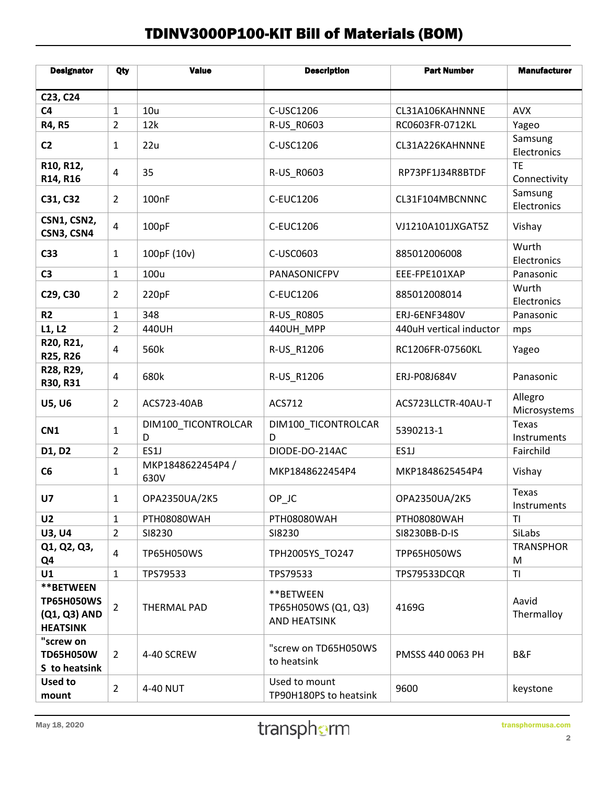## TDINV3000P100-KIT Bill of Materials (BOM)

| <b>Designator</b>                                                 | Qty            | <b>Value</b>              | <b>Description</b>                                      | <b>Part Number</b>      | <b>Manufacturer</b>     |
|-------------------------------------------------------------------|----------------|---------------------------|---------------------------------------------------------|-------------------------|-------------------------|
| C23, C24                                                          |                |                           |                                                         |                         |                         |
| C <sub>4</sub>                                                    | $\mathbf{1}$   | 10u                       | C-USC1206                                               | CL31A106KAHNNNE         | <b>AVX</b>              |
| <b>R4, R5</b>                                                     | $\overline{2}$ | 12k                       | R-US_R0603                                              | RC0603FR-0712KL         | Yageo                   |
| C <sub>2</sub>                                                    | 1              | 22u                       | C-USC1206                                               | CL31A226KAHNNNE         | Samsung<br>Electronics  |
| R10, R12,<br>R14, R16                                             | 4              | 35                        | R-US R0603                                              | RP73PF1J34R8BTDF        | TE<br>Connectivity      |
| C31, C32                                                          | $\overline{2}$ | 100 <sub>nF</sub>         | C-EUC1206                                               | CL31F104MBCNNNC         | Samsung<br>Electronics  |
| CSN1, CSN2,<br>CSN3, CSN4                                         | 4              | 100pF                     | C-EUC1206                                               | VJ1210A101JXGAT5Z       | Vishay                  |
| C33                                                               | $\mathbf{1}$   | 100pF (10v)               | C-USC0603                                               | 885012006008            | Wurth<br>Electronics    |
| C <sub>3</sub>                                                    | $\mathbf{1}$   | 100u                      | PANASONICFPV                                            | EEE-FPE101XAP           | Panasonic               |
| C29, C30                                                          | $\overline{2}$ | 220pF                     | C-EUC1206                                               | 885012008014            | Wurth<br>Electronics    |
| R <sub>2</sub>                                                    | $\mathbf{1}$   | 348                       | R-US R0805                                              | ERJ-6ENF3480V           | Panasonic               |
| L1, L2                                                            | $\overline{2}$ | 440UH                     | 440UH_MPP                                               | 440uH vertical inductor | mps                     |
| R20, R21,<br>R25, R26                                             | 4              | 560k                      | R-US_R1206                                              | RC1206FR-07560KL        | Yageo                   |
| R28, R29,<br>R30, R31                                             | $\overline{4}$ | 680k                      | R-US_R1206                                              | ERJ-P08J684V            | Panasonic               |
| <b>U5, U6</b>                                                     | $\overline{2}$ | ACS723-40AB               | ACS712                                                  | ACS723LLCTR-40AU-T      | Allegro<br>Microsystems |
| CN1                                                               | 1              | DIM100_TICONTROLCAR<br>D  | DIM100_TICONTROLCAR<br>D                                | 5390213-1               | Texas<br>Instruments    |
| D1, D2                                                            | $\overline{2}$ | ES1J                      | DIODE-DO-214AC                                          | ES1J                    | Fairchild               |
| C6                                                                | 1              | MKP1848622454P4 /<br>630V | MKP1848622454P4                                         | MKP1848625454P4         | Vishay                  |
| U <sub>7</sub>                                                    | 1              | OPA2350UA/2K5             | OP_JC                                                   | OPA2350UA/2K5           | Texas<br>Instruments    |
| U <sub>2</sub>                                                    | 1              | PTH08080WAH               | PTH08080WAH                                             | PTH08080WAH             | TI                      |
| <b>U3, U4</b>                                                     | $\overline{2}$ | SI8230                    | SI8230                                                  | SI8230BB-D-IS           | SiLabs                  |
| Q1, Q2, Q3,<br>Q4                                                 | 4              | <b>TP65H050WS</b>         | <b>TPH2005YS TO247</b>                                  | TPP65H050WS             | <b>TRANSPHOR</b><br>M   |
| U1                                                                | $\mathbf{1}$   | TPS79533                  | TPS79533                                                | TPS79533DCQR            | T <sub>1</sub>          |
| **BETWEEN<br><b>TP65H050WS</b><br>(Q1, Q3) AND<br><b>HEATSINK</b> | $\overline{2}$ | THERMAL PAD               | **BETWEEN<br>TP65H050WS (Q1, Q3)<br><b>AND HEATSINK</b> | 4169G                   | Aavid<br>Thermalloy     |
| "screw on<br><b>TD65H050W</b><br>S to heatsink                    | $\overline{2}$ | 4-40 SCREW                | "screw on TD65H050WS<br>to heatsink                     | PMSSS 440 0063 PH       | B&F                     |
| <b>Used to</b><br>mount                                           | $\overline{2}$ | 4-40 NUT                  | Used to mount<br>TP90H180PS to heatsink                 | 9600                    | keystone                |